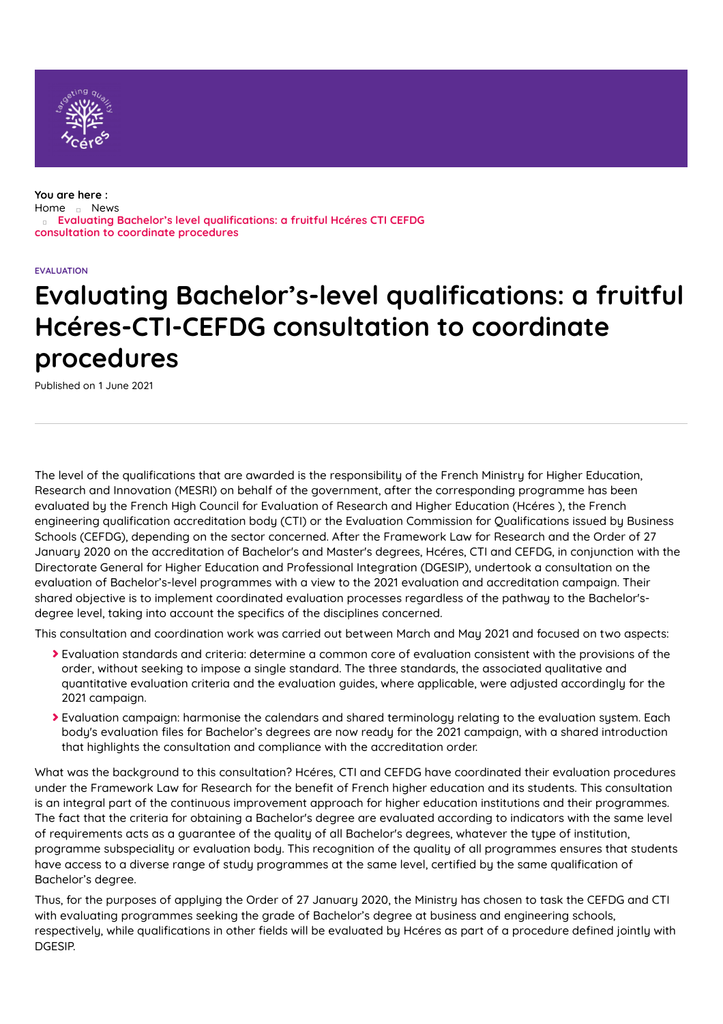

#### **You are here :** [Home](https://www.hceres.fr/en) [News](https://www.hceres.fr/en/actualites) **Evaluating Bachelor's level qualications: a fruitful Hcéres CTI CEFDG consultation to coordinate procedures**

#### **EVALUATION**

# **Evaluating Bachelor's-level qualications: a fruitful Hcéres-CTI-CEFDG consultation to coordinate procedures**

Published on 1 June 2021

The level of the qualifications that are awarded is the responsibility of the French Ministry for Higher Education, Research and Innovation (MESRI) on behalf of the government, after the corresponding programme has been evaluated by the French High Council for Evaluation of Research and Higher Education (Hcéres ), the French engineering qualification accreditation body (CTI) or the Evaluation Commission for Qualifications issued by Business Schools (CEFDG), depending on the sector concerned. After the Framework Law for Research and the Order of 27 January 2020 on the accreditation of Bachelor's and Master's degrees, Hcéres, CTI and CEFDG, in conjunction with the Directorate General for Higher Education and Professional Integration (DGESIP), undertook a consultation on the evaluation of Bachelor's-level programmes with a view to the 2021 evaluation and accreditation campaign. Their shared objective is to implement coordinated evaluation processes regardless of the pathway to the Bachelor'sdegree level, taking into account the specifics of the disciplines concerned.

This consultation and coordination work was carried out between March and May 2021 and focused on two aspects:

- Evaluation standards and criteria: determine a common core of evaluation consistent with the provisions of the order, without seeking to impose a single standard. The three standards, the associated qualitative and quantitative evaluation criteria and the evaluation guides, where applicable, were adjusted accordingly for the 2021 campaign.
- Evaluation campaign: harmonise the calendars and shared terminology relating to the evaluation system. Each body's evaluation files for Bachelor's degrees are now ready for the 2021 campaign, with a shared introduction that highlights the consultation and compliance with the accreditation order.

What was the background to this consultation? Hcéres, CTI and CEFDG have coordinated their evaluation procedures under the Framework Law for Research for the benefit of French higher education and its students. This consultation is an integral part of the continuous improvement approach for higher education institutions and their programmes. The fact that the criteria for obtaining a Bachelor's degree are evaluated according to indicators with the same level of requirements acts as a guarantee of the quality of all Bachelor's degrees, whatever the type of institution, programme subspeciality or evaluation body. This recognition of the quality of all programmes ensures that students have access to a diverse range of study programmes at the same level, certified by the same qualification of Bachelor's degree.

Thus, for the purposes of applying the Order of 27 January 2020, the Ministry has chosen to task the CEFDG and CTI with evaluating programmes seeking the grade of Bachelor's degree at business and engineering schools, respectively, while qualifications in other fields will be evaluated by Hcéres as part of a procedure defined jointly with DGESIP.